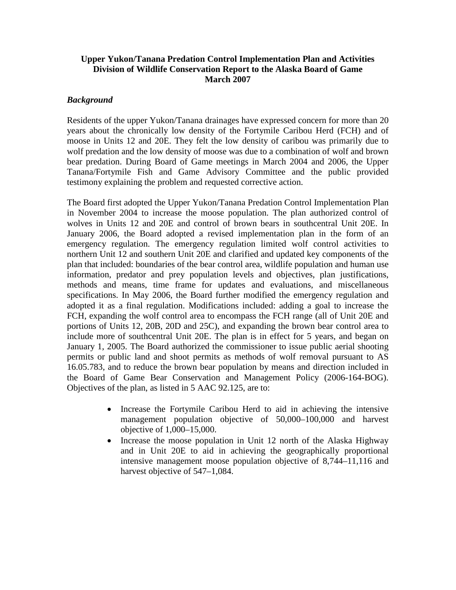# **Upper Yukon/Tanana Predation Control Implementation Plan and Activities Division of Wildlife Conservation Report to the Alaska Board of Game March 2007**

# *Background*

Residents of the upper Yukon/Tanana drainages have expressed concern for more than 20 years about the chronically low density of the Fortymile Caribou Herd (FCH) and of moose in Units 12 and 20E. They felt the low density of caribou was primarily due to wolf predation and the low density of moose was due to a combination of wolf and brown bear predation. During Board of Game meetings in March 2004 and 2006, the Upper Tanana/Fortymile Fish and Game Advisory Committee and the public provided testimony explaining the problem and requested corrective action.

The Board first adopted the Upper Yukon/Tanana Predation Control Implementation Plan in November 2004 to increase the moose population. The plan authorized control of wolves in Units 12 and 20E and control of brown bears in southcentral Unit 20E. In January 2006, the Board adopted a revised implementation plan in the form of an emergency regulation. The emergency regulation limited wolf control activities to northern Unit 12 and southern Unit 20E and clarified and updated key components of the plan that included: boundaries of the bear control area, wildlife population and human use information, predator and prey population levels and objectives, plan justifications, methods and means, time frame for updates and evaluations, and miscellaneous specifications. In May 2006, the Board further modified the emergency regulation and adopted it as a final regulation. Modifications included: adding a goal to increase the FCH, expanding the wolf control area to encompass the FCH range (all of Unit 20E and portions of Units 12, 20B, 20D and 25C), and expanding the brown bear control area to include more of southcentral Unit 20E. The plan is in effect for 5 years, and began on January 1, 2005. The Board authorized the commissioner to issue public aerial shooting permits or public land and shoot permits as methods of wolf removal pursuant to AS 16.05.783, and to reduce the brown bear population by means and direction included in the Board of Game Bear Conservation and Management Policy (2006-164-BOG). Objectives of the plan, as listed in 5 AAC 92.125, are to:

- Increase the Fortymile Caribou Herd to aid in achieving the intensive management population objective of 50,000–100,000 and harvest objective of 1,000–15,000.
- Increase the moose population in Unit 12 north of the Alaska Highway and in Unit 20E to aid in achieving the geographically proportional intensive management moose population objective of 8,744–11,116 and harvest objective of 547–1,084.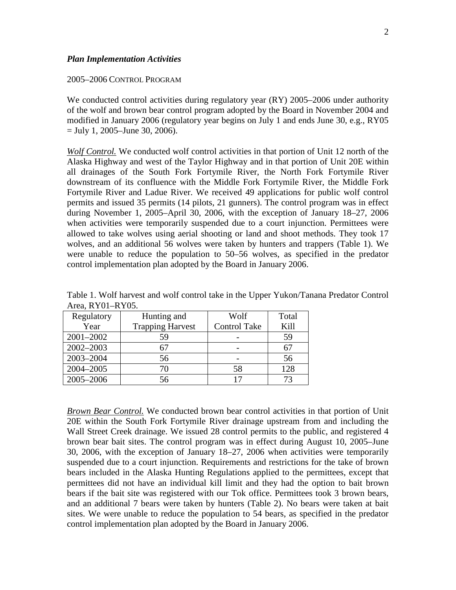#### *Plan Implementation Activities*

### 2005–2006 CONTROL PROGRAM

We conducted control activities during regulatory year (RY) 2005–2006 under authority of the wolf and brown bear control program adopted by the Board in November 2004 and modified in January 2006 (regulatory year begins on July 1 and ends June 30, e.g., RY05  $=$  July 1, 2005–June 30, 2006).

*Wolf Control.* We conducted wolf control activities in that portion of Unit 12 north of the Alaska Highway and west of the Taylor Highway and in that portion of Unit 20E within all drainages of the South Fork Fortymile River, the North Fork Fortymile River downstream of its confluence with the Middle Fork Fortymile River, the Middle Fork Fortymile River and Ladue River. We received 49 applications for public wolf control permits and issued 35 permits (14 pilots, 21 gunners). The control program was in effect during November 1, 2005–April 30, 2006, with the exception of January 18–27, 2006 when activities were temporarily suspended due to a court injunction. Permittees were allowed to take wolves using aerial shooting or land and shoot methods. They took 17 wolves, and an additional 56 wolves were taken by hunters and trappers (Table 1). We were unable to reduce the population to 50–56 wolves, as specified in the predator control implementation plan adopted by the Board in January 2006.

|                  |  |  |  |  |  | Table 1. Wolf harvest and wolf control take in the Upper Yukon/Tanana Predator Control |  |
|------------------|--|--|--|--|--|----------------------------------------------------------------------------------------|--|
| Area, RY01-RY05. |  |  |  |  |  |                                                                                        |  |

| Regulatory | Hunting and             | Wolf                | Total |
|------------|-------------------------|---------------------|-------|
| Year       | <b>Trapping Harvest</b> | <b>Control Take</b> | Kill  |
| 2001-2002  | 59                      |                     | 59    |
| 2002-2003  |                         |                     |       |
| 2003-2004  | 56                      |                     | 56    |
| 2004-2005  | 70                      |                     | 128   |
| 2005-2006  | 56                      |                     |       |

*Brown Bear Control.* We conducted brown bear control activities in that portion of Unit 20E within the South Fork Fortymile River drainage upstream from and including the Wall Street Creek drainage. We issued 28 control permits to the public, and registered 4 brown bear bait sites. The control program was in effect during August 10, 2005–June 30, 2006, with the exception of January 18–27, 2006 when activities were temporarily suspended due to a court injunction. Requirements and restrictions for the take of brown bears included in the Alaska Hunting Regulations applied to the permittees, except that permittees did not have an individual kill limit and they had the option to bait brown bears if the bait site was registered with our Tok office. Permittees took 3 brown bears, and an additional 7 bears were taken by hunters (Table 2). No bears were taken at bait sites. We were unable to reduce the population to 54 bears, as specified in the predator control implementation plan adopted by the Board in January 2006.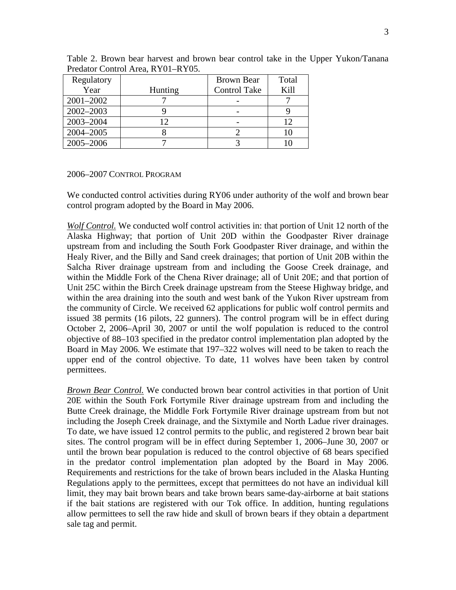| Regulatory |         | Brown Bear          | Total |
|------------|---------|---------------------|-------|
| Year       | Hunting | <b>Control Take</b> | Kill  |
| 2001-2002  |         |                     |       |
| 2002-2003  |         |                     |       |
| 2003-2004  |         |                     |       |
| 2004-2005  |         |                     |       |
| 2005-2006  |         |                     |       |

Table 2. Brown bear harvest and brown bear control take in the Upper Yukon/Tanana Predator Control Area, RY01–RY05.

### 2006–2007 CONTROL PROGRAM

We conducted control activities during RY06 under authority of the wolf and brown bear control program adopted by the Board in May 2006.

*Wolf Control.* We conducted wolf control activities in: that portion of Unit 12 north of the Alaska Highway; that portion of Unit 20D within the Goodpaster River drainage upstream from and including the South Fork Goodpaster River drainage, and within the Healy River, and the Billy and Sand creek drainages; that portion of Unit 20B within the Salcha River drainage upstream from and including the Goose Creek drainage, and within the Middle Fork of the Chena River drainage; all of Unit 20E; and that portion of Unit 25C within the Birch Creek drainage upstream from the Steese Highway bridge, and within the area draining into the south and west bank of the Yukon River upstream from the community of Circle. We received 62 applications for public wolf control permits and issued 38 permits (16 pilots, 22 gunners). The control program will be in effect during October 2, 2006–April 30, 2007 or until the wolf population is reduced to the control objective of 88–103 specified in the predator control implementation plan adopted by the Board in May 2006. We estimate that 197–322 wolves will need to be taken to reach the upper end of the control objective. To date, 11 wolves have been taken by control permittees.

*Brown Bear Control.* We conducted brown bear control activities in that portion of Unit 20E within the South Fork Fortymile River drainage upstream from and including the Butte Creek drainage, the Middle Fork Fortymile River drainage upstream from but not including the Joseph Creek drainage, and the Sixtymile and North Ladue river drainages. To date, we have issued 12 control permits to the public, and registered 2 brown bear bait sites. The control program will be in effect during September 1, 2006–June 30, 2007 or until the brown bear population is reduced to the control objective of 68 bears specified in the predator control implementation plan adopted by the Board in May 2006. Requirements and restrictions for the take of brown bears included in the Alaska Hunting Regulations apply to the permittees, except that permittees do not have an individual kill limit, they may bait brown bears and take brown bears same-day-airborne at bait stations if the bait stations are registered with our Tok office. In addition, hunting regulations allow permittees to sell the raw hide and skull of brown bears if they obtain a department sale tag and permit.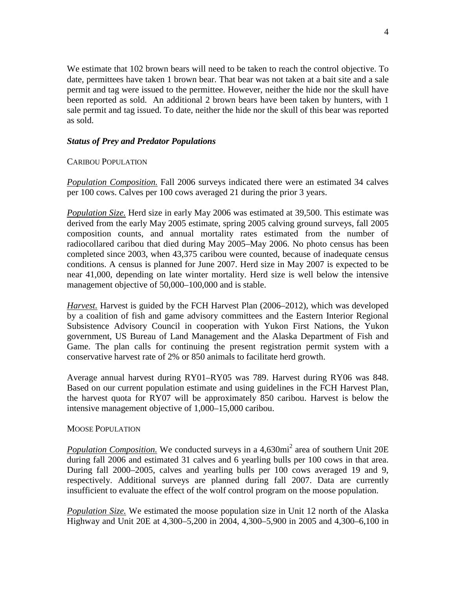We estimate that 102 brown bears will need to be taken to reach the control objective. To date, permittees have taken 1 brown bear. That bear was not taken at a bait site and a sale permit and tag were issued to the permittee. However, neither the hide nor the skull have been reported as sold. An additional 2 brown bears have been taken by hunters, with 1 sale permit and tag issued. To date, neither the hide nor the skull of this bear was reported as sold.

# *Status of Prey and Predator Populations*

# CARIBOU POPULATION

*Population Composition.* Fall 2006 surveys indicated there were an estimated 34 calves per 100 cows. Calves per 100 cows averaged 21 during the prior 3 years.

*Population Size.* Herd size in early May 2006 was estimated at 39,500. This estimate was derived from the early May 2005 estimate, spring 2005 calving ground surveys, fall 2005 composition counts, and annual mortality rates estimated from the number of radiocollared caribou that died during May 2005–May 2006. No photo census has been completed since 2003, when 43,375 caribou were counted, because of inadequate census conditions. A census is planned for June 2007. Herd size in May 2007 is expected to be near 41,000, depending on late winter mortality. Herd size is well below the intensive management objective of 50,000–100,000 and is stable.

*Harvest.* Harvest is guided by the FCH Harvest Plan (2006–2012), which was developed by a coalition of fish and game advisory committees and the Eastern Interior Regional Subsistence Advisory Council in cooperation with Yukon First Nations, the Yukon government, US Bureau of Land Management and the Alaska Department of Fish and Game. The plan calls for continuing the present registration permit system with a conservative harvest rate of 2% or 850 animals to facilitate herd growth.

Average annual harvest during RY01–RY05 was 789. Harvest during RY06 was 848. Based on our current population estimate and using guidelines in the FCH Harvest Plan, the harvest quota for RY07 will be approximately 850 caribou. Harvest is below the intensive management objective of 1,000–15,000 caribou.

## MOOSE POPULATION

*Population Composition.* We conducted surveys in a 4,630mi<sup>2</sup> area of southern Unit 20E during fall 2006 and estimated 31 calves and 6 yearling bulls per 100 cows in that area. During fall 2000–2005, calves and yearling bulls per 100 cows averaged 19 and 9, respectively. Additional surveys are planned during fall 2007. Data are currently insufficient to evaluate the effect of the wolf control program on the moose population.

*Population Size.* We estimated the moose population size in Unit 12 north of the Alaska Highway and Unit 20E at 4,300–5,200 in 2004, 4,300–5,900 in 2005 and 4,300–6,100 in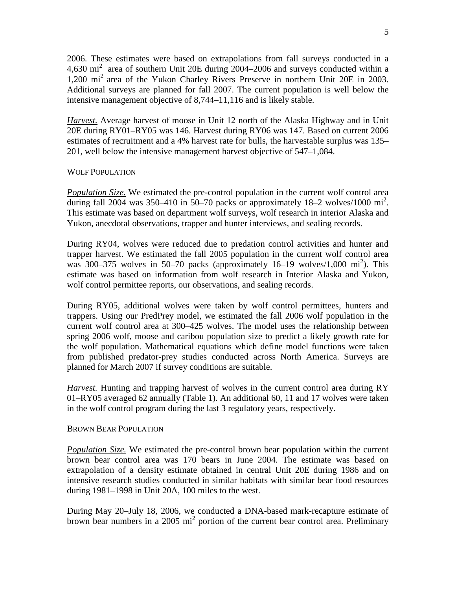2006. These estimates were based on extrapolations from fall surveys conducted in a 4,630 mi<sup>2</sup> area of southern Unit 20E during 2004–2006 and surveys conducted within a 1,200 mi2 area of the Yukon Charley Rivers Preserve in northern Unit 20E in 2003. Additional surveys are planned for fall 2007. The current population is well below the intensive management objective of 8,744–11,116 and is likely stable.

*Harvest.* Average harvest of moose in Unit 12 north of the Alaska Highway and in Unit 20E during RY01–RY05 was 146. Harvest during RY06 was 147. Based on current 2006 estimates of recruitment and a 4% harvest rate for bulls, the harvestable surplus was 135– 201, well below the intensive management harvest objective of 547–1,084.

### WOLF POPULATION

*Population Size.* We estimated the pre-control population in the current wolf control area during fall 2004 was 350-410 in 50-70 packs or approximately  $18-2$  wolves/1000 mi<sup>2</sup>. This estimate was based on department wolf surveys, wolf research in interior Alaska and Yukon, anecdotal observations, trapper and hunter interviews, and sealing records.

During RY04, wolves were reduced due to predation control activities and hunter and trapper harvest. We estimated the fall 2005 population in the current wolf control area was 300–375 wolves in 50–70 packs (approximately 16–19 wolves/1,000 mi<sup>2</sup>). This estimate was based on information from wolf research in Interior Alaska and Yukon, wolf control permittee reports, our observations, and sealing records.

During RY05, additional wolves were taken by wolf control permittees, hunters and trappers. Using our PredPrey model, we estimated the fall 2006 wolf population in the current wolf control area at 300–425 wolves. The model uses the relationship between spring 2006 wolf, moose and caribou population size to predict a likely growth rate for the wolf population. Mathematical equations which define model functions were taken from published predator-prey studies conducted across North America. Surveys are planned for March 2007 if survey conditions are suitable.

*Harvest.* Hunting and trapping harvest of wolves in the current control area during RY 01–RY05 averaged 62 annually (Table 1). An additional 60, 11 and 17 wolves were taken in the wolf control program during the last 3 regulatory years, respectively.

#### BROWN BEAR POPULATION

*Population Size.* We estimated the pre-control brown bear population within the current brown bear control area was 170 bears in June 2004. The estimate was based on extrapolation of a density estimate obtained in central Unit 20E during 1986 and on intensive research studies conducted in similar habitats with similar bear food resources during 1981–1998 in Unit 20A, 100 miles to the west.

During May 20–July 18, 2006, we conducted a DNA-based mark-recapture estimate of brown bear numbers in a 2005 mi<sup>2</sup> portion of the current bear control area. Preliminary